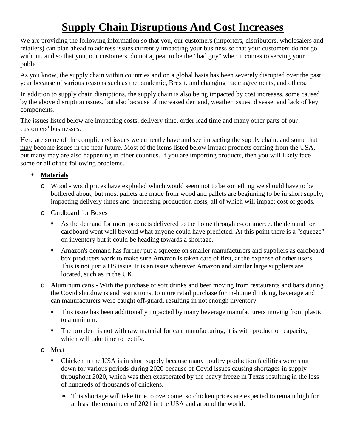## **Supply Chain Disruptions And Cost Increases**

We are providing the following information so that you, our customers (importers, distributors, wholesalers and retailers) can plan ahead to address issues currently impacting your business so that your customers do not go without, and so that you, our customers, do not appear to be the "bad guy" when it comes to serving your public.

As you know, the supply chain within countries and on a global basis has been severely disrupted over the past year because of various reasons such as the pandemic, Brexit, and changing trade agreements, and others.

In addition to supply chain disruptions, the supply chain is also being impacted by cost increases, some caused by the above disruption issues, but also because of increased demand, weather issues, disease, and lack of key components.

The issues listed below are impacting costs, delivery time, order lead time and many other parts of our customers' businesses.

Here are some of the complicated issues we currently have and see impacting the supply chain, and some that may become issues in the near future. Most of the items listed below impact products coming from the USA, but many may are also happening in other counties. If you are importing products, then you will likely face some or all of the following problems.

## **Materials**

- o Wood wood prices have exploded which would seem not to be something we should have to be bothered about, but most pallets are made from wood and pallets are beginning to be in short supply, impacting delivery times and increasing production costs, all of which will impact cost of goods.
- o Cardboard for Boxes
	- As the demand for more products delivered to the home through e-commerce, the demand for cardboard went well beyond what anyone could have predicted. At this point there is a "squeeze" on inventory but it could be heading towards a shortage.
	- Amazon's demand has further put a squeeze on smaller manufacturers and suppliers as cardboard box producers work to make sure Amazon is taken care of first, at the expense of other users. This is not just a US issue. It is an issue wherever Amazon and similar large suppliers are located, such as in the UK.
- o Aluminum cans With the purchase of soft drinks and beer moving from restaurants and bars during the Covid shutdowns and restrictions, to more retail purchase for in-home drinking, beverage and can manufacturers were caught off-guard, resulting in not enough inventory.
	- **This issue has been additionally impacted by many beverage manufacturers moving from plastic** to aluminum.
	- The problem is not with raw material for can manufacturing, it is with production capacity, which will take time to rectify.
- o Meat
	- Chicken in the USA is in short supply because many poultry production facilities were shut down for various periods during 2020 because of Covid issues causing shortages in supply throughout 2020, which was then exasperated by the heavy freeze in Texas resulting in the loss of hundreds of thousands of chickens.
		- This shortage will take time to overcome, so chicken prices are expected to remain high for at least the remainder of 2021 in the USA and around the world.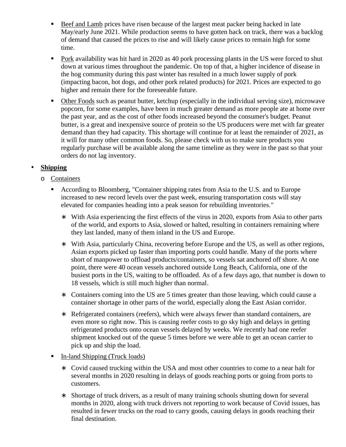- Beef and Lamb prices have risen because of the largest meat packer being hacked in late May/early June 2021. While production seems to have gotten back on track, there was a backlog of demand that caused the prices to rise and will likely cause prices to remain high for some time.
- Pork availability was hit hard in 2020 as 40 pork processing plants in the US were forced to shut down at various times throughout the pandemic. On top of that, a higher incidence of disease in the hog community during this past winter has resulted in a much lower supply of pork (impacting bacon, hot dogs, and other pork related products) for 2021. Prices are expected to go higher and remain there for the foreseeable future.
- Other Foods such as peanut butter, ketchup (especially in the individual serving size), microwave popcorn, for some examples, have been in much greater demand as more people ate at home over the past year, and as the cost of other foods increased beyond the consumer's budget. Peanut butter, is a great and inexpensive source of protein so the US producers were met with far greater demand than they had capacity. This shortage will continue for at least the remainder of 2021, as it will for many other common foods. So, please check with us to make sure products you regularly purchase will be available along the same timeline as they were in the past so that your orders do not lag inventory.

## **Shipping**

- o Containers
	- According to Bloomberg, "Container shipping rates from Asia to the U.S. and to Europe increased to new record levels over the past week, ensuring transportation costs will stay elevated for companies heading into a peak season for rebuilding inventories."
		- With Asia experiencing the first effects of the virus in 2020, exports from Asia to other parts of the world, and exports to Asia, slowed or halted, resulting in containers remaining where they last landed, many of them inland in the US and Europe.
		- With Asia, particularly China, recovering before Europe and the US, as well as other regions, Asian exports picked up faster than importing ports could handle. Many of the ports where short of manpower to offload products/containers, so vessels sat anchored off shore. At one point, there were 40 ocean vessels anchored outside Long Beach, California, one of the busiest ports in the US, waiting to be offloaded. As of a few days ago, that number is down to 18 vessels, which is still much higher than normal.
		- Containers coming into the US are 5 times greater than those leaving, which could cause a container shortage in other parts of the world, especially along the East Asian corridor.
		- Refrigerated containers (reefers), which were always fewer than standard containers, are even more so right now. This is causing reefer costs to go sky high and delays in getting refrigerated products onto ocean vessels delayed by weeks. We recently had one reefer shipment knocked out of the queue 5 times before we were able to get an ocean carrier to pick up and ship the load.
	- In-land Shipping (Truck loads)
		- Covid caused trucking within the USA and most other countries to come to a near halt for several months in 2020 resulting in delays of goods reaching ports or going from ports to customers.
		- Shortage of truck drivers, as a result of many training schools shutting down for several months in 2020, along with truck drivers not reporting to work because of Covid issues, has resulted in fewer trucks on the road to carry goods, causing delays in goods reaching their final destination.